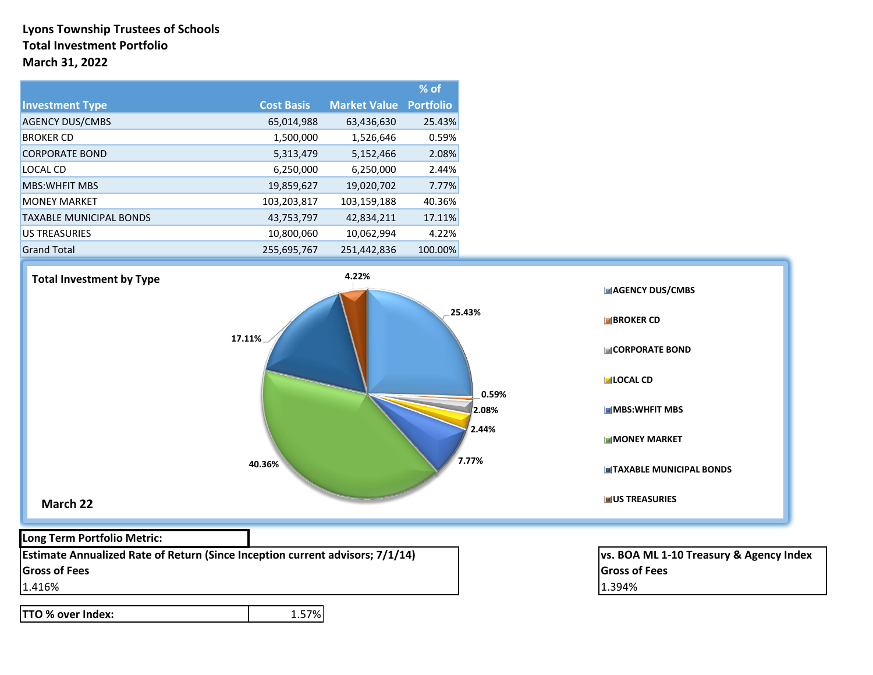### **Lyons Township Trustees of Schools Total Investment Portfolio March 31, 2022**

|                                |                   |                     | $%$ of           |
|--------------------------------|-------------------|---------------------|------------------|
| <b>Investment Type</b>         | <b>Cost Basis</b> | <b>Market Value</b> | <b>Portfolio</b> |
| <b>AGENCY DUS/CMBS</b>         | 65,014,988        | 63,436,630          | 25.43%           |
| <b>BROKER CD</b>               | 1,500,000         | 1,526,646           | 0.59%            |
| <b>CORPORATE BOND</b>          | 5,313,479         | 5,152,466           | 2.08%            |
| LOCAL CD                       | 6,250,000         | 6,250,000           | 2.44%            |
| <b>MBS: WHEIT MBS</b>          | 19,859,627        | 19,020,702          | 7.77%            |
| <b>MONEY MARKET</b>            | 103,203,817       | 103,159,188         | 40.36%           |
| <b>TAXABLE MUNICIPAL BONDS</b> | 43,753,797        | 42,834,211          | 17.11%           |
| <b>US TREASURIES</b>           | 10,800,060        | 10,062,994          | 4.22%            |
| <b>Grand Total</b>             | 255,695,767       | 251,442,836         | 100.00%          |



**TTO % over Index:** 1.57%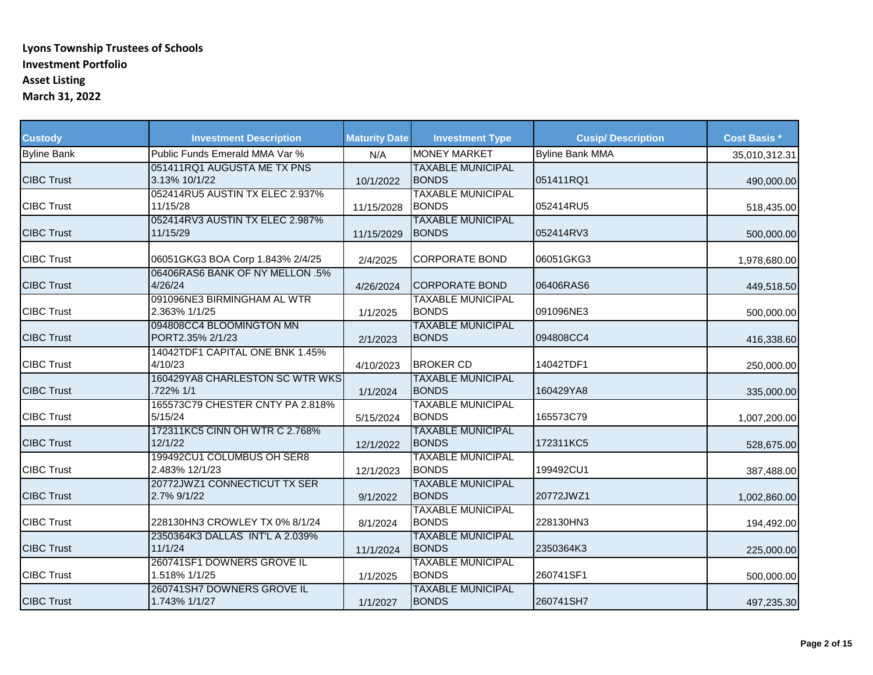| <b>Custody</b>     | <b>Investment Description</b>                | <b>Maturity Date</b> | <b>Investment Type</b>                   | <b>Cusip/Description</b> | <b>Cost Basis *</b> |
|--------------------|----------------------------------------------|----------------------|------------------------------------------|--------------------------|---------------------|
| <b>Byline Bank</b> | Public Funds Emerald MMA Var %               | N/A                  | <b>MONEY MARKET</b>                      | <b>Byline Bank MMA</b>   | 35,010,312.31       |
| <b>CIBC Trust</b>  | 051411RQ1 AUGUSTA ME TX PNS<br>3.13% 10/1/22 | 10/1/2022            | <b>TAXABLE MUNICIPAL</b><br><b>BONDS</b> | 051411RQ1                | 490,000.00          |
| <b>CIBC Trust</b>  | 052414RU5 AUSTIN TX ELEC 2.937%<br>11/15/28  | 11/15/2028           | <b>TAXABLE MUNICIPAL</b><br><b>BONDS</b> | 052414RU5                | 518,435.00          |
| <b>CIBC Trust</b>  | 052414RV3 AUSTIN TX ELEC 2.987%<br>11/15/29  | 11/15/2029           | <b>TAXABLE MUNICIPAL</b><br><b>BONDS</b> | 052414RV3                | 500,000.00          |
| <b>CIBC Trust</b>  | 06051GKG3 BOA Corp 1.843% 2/4/25             | 2/4/2025             | <b>CORPORATE BOND</b>                    | 06051GKG3                | 1,978,680.00        |
| <b>CIBC Trust</b>  | 06406RAS6 BANK OF NY MELLON .5%<br>4/26/24   | 4/26/2024            | <b>CORPORATE BOND</b>                    | 06406RAS6                | 449,518.50          |
| <b>CIBC Trust</b>  | 091096NE3 BIRMINGHAM AL WTR<br>2.363% 1/1/25 | 1/1/2025             | <b>TAXABLE MUNICIPAL</b><br><b>BONDS</b> | 091096NE3                | 500,000.00          |
| <b>CIBC Trust</b>  | 094808CC4 BLOOMINGTON MN<br>PORT2.35% 2/1/23 | 2/1/2023             | <b>TAXABLE MUNICIPAL</b><br><b>BONDS</b> | 094808CC4                | 416,338.60          |
| <b>CIBC Trust</b>  | 14042TDF1 CAPITAL ONE BNK 1.45%<br>4/10/23   | 4/10/2023            | <b>BROKER CD</b>                         | 14042TDF1                | 250,000.00          |
| <b>CIBC Trust</b>  | 160429YA8 CHARLESTON SC WTR WKS<br>722% 1/1  | 1/1/2024             | <b>TAXABLE MUNICIPAL</b><br><b>BONDS</b> | 160429YA8                | 335,000.00          |
| <b>CIBC Trust</b>  | 165573C79 CHESTER CNTY PA 2.818%<br>5/15/24  | 5/15/2024            | <b>TAXABLE MUNICIPAL</b><br><b>BONDS</b> | 165573C79                | 1,007,200.00        |
| <b>CIBC Trust</b>  | 172311KC5 CINN OH WTR C 2.768%<br>12/1/22    | 12/1/2022            | <b>TAXABLE MUNICIPAL</b><br><b>BONDS</b> | 172311KC5                | 528,675.00          |
| <b>CIBC Trust</b>  | 199492CU1 COLUMBUS OH SER8<br>2.483% 12/1/23 | 12/1/2023            | <b>TAXABLE MUNICIPAL</b><br><b>BONDS</b> | 199492CU1                | 387,488.00          |
| <b>CIBC Trust</b>  | 20772JWZ1 CONNECTICUT TX SER<br>2.7% 9/1/22  | 9/1/2022             | <b>TAXABLE MUNICIPAL</b><br><b>BONDS</b> | 20772JWZ1                | 1,002,860.00        |
| <b>CIBC Trust</b>  | 228130HN3 CROWLEY TX 0% 8/1/24               | 8/1/2024             | <b>TAXABLE MUNICIPAL</b><br><b>BONDS</b> | 228130HN3                | 194,492.00          |
| <b>CIBC Trust</b>  | 2350364K3 DALLAS INT'L A 2.039%<br>11/1/24   | 11/1/2024            | <b>TAXABLE MUNICIPAL</b><br><b>BONDS</b> | 2350364K3                | 225,000.00          |
| <b>CIBC Trust</b>  | 260741SF1 DOWNERS GROVE IL<br>1.518% 1/1/25  | 1/1/2025             | <b>TAXABLE MUNICIPAL</b><br><b>BONDS</b> | 260741SF1                | 500,000.00          |
| <b>CIBC Trust</b>  | 260741SH7 DOWNERS GROVE IL<br>1.743% 1/1/27  | 1/1/2027             | <b>TAXABLE MUNICIPAL</b><br><b>BONDS</b> | 260741SH7                | 497,235.30          |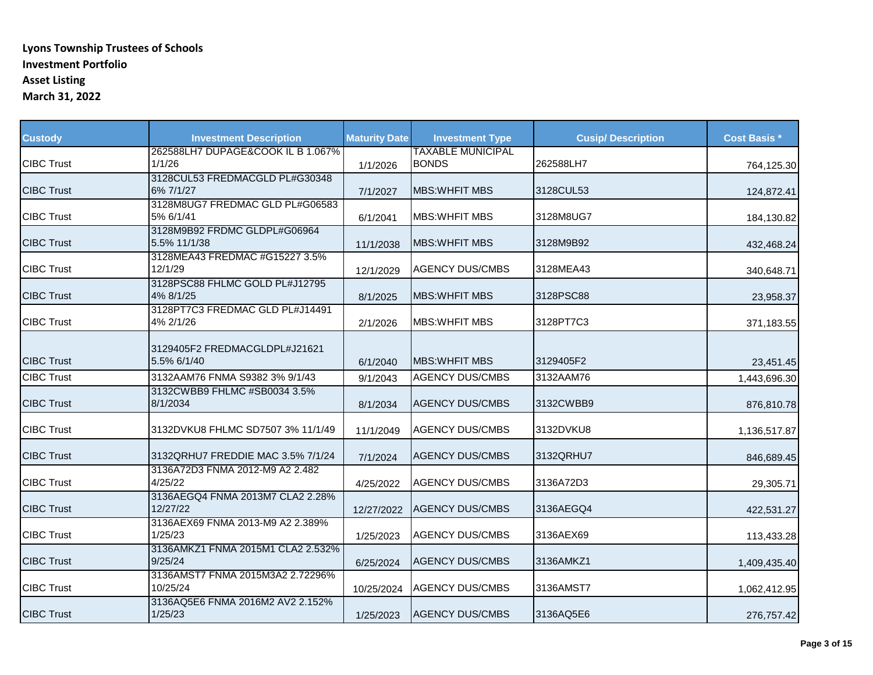| <b>Custody</b>    | <b>Investment Description</b>                | <b>Maturity Date</b> | <b>Investment Type</b>                   | <b>Cusip/Description</b> | <b>Cost Basis *</b> |
|-------------------|----------------------------------------------|----------------------|------------------------------------------|--------------------------|---------------------|
| <b>CIBC Trust</b> | 262588LH7 DUPAGE&COOK IL B 1.067%<br>1/1/26  | 1/1/2026             | <b>TAXABLE MUNICIPAL</b><br><b>BONDS</b> | 262588LH7                | 764,125.30          |
| <b>CIBC Trust</b> | 3128CUL53 FREDMACGLD PL#G30348<br>6% 7/1/27  | 7/1/2027             | <b>MBS: WHFIT MBS</b>                    | 3128CUL53                | 124,872.41          |
| <b>CIBC Trust</b> | 3128M8UG7 FREDMAC GLD PL#G06583<br>5% 6/1/41 | 6/1/2041             | <b>MBS: WHEIT MBS</b>                    | 3128M8UG7                | 184,130.82          |
| <b>CIBC Trust</b> | 3128M9B92 FRDMC GLDPL#G06964<br>5.5% 11/1/38 | 11/1/2038            | <b>MBS:WHFIT MBS</b>                     | 3128M9B92                | 432,468.24          |
| <b>CIBC Trust</b> | 3128MEA43 FREDMAC #G15227 3.5%<br>12/1/29    | 12/1/2029            | <b>AGENCY DUS/CMBS</b>                   | 3128MEA43                | 340,648.71          |
| <b>CIBC Trust</b> | 3128PSC88 FHLMC GOLD PL#J12795<br>4% 8/1/25  | 8/1/2025             | <b>MBS: WHEIT MBS</b>                    | 3128PSC88                | 23,958.37           |
| <b>CIBC Trust</b> | 3128PT7C3 FREDMAC GLD PL#J14491<br>4% 2/1/26 | 2/1/2026             | <b>MBS: WHEIT MBS</b>                    | 3128PT7C3                | 371,183.55          |
| <b>CIBC Trust</b> | 3129405F2 FREDMACGLDPL#J21621<br>5.5% 6/1/40 | 6/1/2040             | <b>MBS: WHEIT MBS</b>                    | 3129405F2                | 23,451.45           |
| <b>CIBC Trust</b> | 3132AAM76 FNMA S9382 3% 9/1/43               | 9/1/2043             | <b>AGENCY DUS/CMBS</b>                   | 3132AAM76                | 1,443,696.30        |
| <b>CIBC Trust</b> | 3132CWBB9 FHLMC #SB0034 3.5%<br>8/1/2034     | 8/1/2034             | <b>AGENCY DUS/CMBS</b>                   | 3132CWBB9                | 876,810.78          |
| <b>CIBC Trust</b> | 3132DVKU8 FHLMC SD7507 3% 11/1/49            | 11/1/2049            | <b>AGENCY DUS/CMBS</b>                   | 3132DVKU8                | 1,136,517.87        |
| <b>CIBC Trust</b> | 3132QRHU7 FREDDIE MAC 3.5% 7/1/24            | 7/1/2024             | <b>AGENCY DUS/CMBS</b>                   | 3132QRHU7                | 846,689.45          |
| <b>CIBC Trust</b> | 3136A72D3 FNMA 2012-M9 A2 2.482<br>4/25/22   | 4/25/2022            | <b>AGENCY DUS/CMBS</b>                   | 3136A72D3                | 29,305.71           |
| <b>CIBC Trust</b> | 3136AEGQ4 FNMA 2013M7 CLA2 2.28%<br>12/27/22 | 12/27/2022           | <b>AGENCY DUS/CMBS</b>                   | 3136AEGQ4                | 422,531.27          |
| <b>CIBC Trust</b> | 3136AEX69 FNMA 2013-M9 A2 2.389%<br>1/25/23  | 1/25/2023            | <b>AGENCY DUS/CMBS</b>                   | 3136AEX69                | 113,433.28          |
| <b>CIBC Trust</b> | 3136AMKZ1 FNMA 2015M1 CLA2 2.532%<br>9/25/24 | 6/25/2024            | <b>AGENCY DUS/CMBS</b>                   | 3136AMKZ1                | 1,409,435.40        |
| <b>CIBC Trust</b> | 3136AMST7 FNMA 2015M3A2 2.72296%<br>10/25/24 | 10/25/2024           | <b>AGENCY DUS/CMBS</b>                   | 3136AMST7                | 1,062,412.95        |
| <b>CIBC Trust</b> | 3136AQ5E6 FNMA 2016M2 AV2 2.152%<br>1/25/23  | 1/25/2023            | <b>AGENCY DUS/CMBS</b>                   | 3136AQ5E6                | 276,757.42          |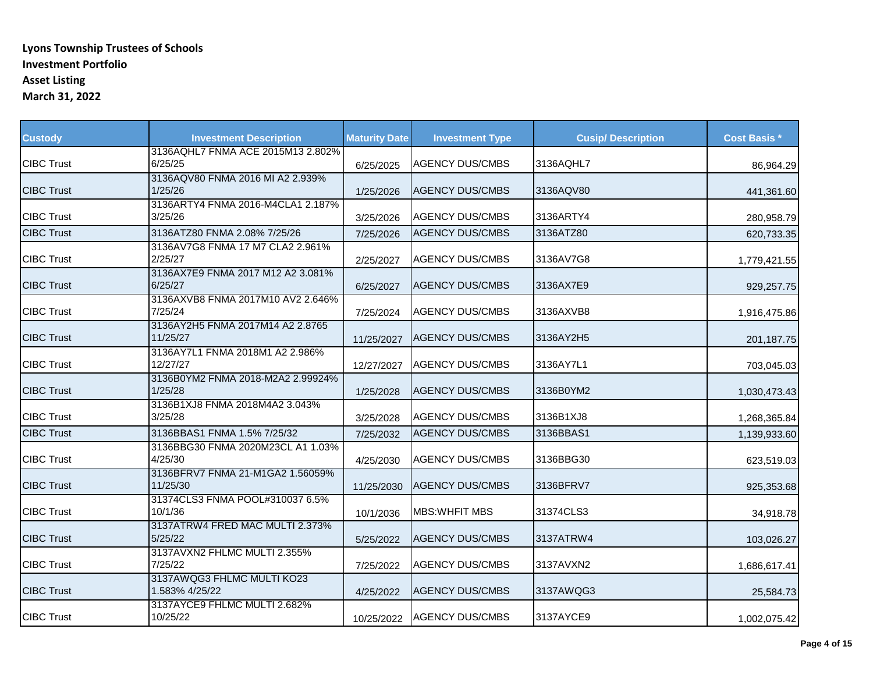| <b>Custody</b>    | <b>Investment Description</b>                | <b>Maturity Date</b> | <b>Investment Type</b> | <b>Cusip/ Description</b> | <b>Cost Basis *</b> |
|-------------------|----------------------------------------------|----------------------|------------------------|---------------------------|---------------------|
|                   | 3136AQHL7 FNMA ACE 2015M13 2.802%            |                      |                        |                           |                     |
| <b>CIBC Trust</b> | 6/25/25                                      | 6/25/2025            | <b>AGENCY DUS/CMBS</b> | 3136AQHL7                 | 86,964.29           |
|                   | 3136AQV80 FNMA 2016 MI A2 2.939%             |                      |                        |                           |                     |
| <b>CIBC Trust</b> | 1/25/26                                      | 1/25/2026            | <b>AGENCY DUS/CMBS</b> | 3136AQV80                 | 441,361.60          |
| <b>CIBC Trust</b> | 3136ARTY4 FNMA 2016-M4CLA1 2.187%            |                      | <b>AGENCY DUS/CMBS</b> | 3136ARTY4                 |                     |
|                   | 3/25/26                                      | 3/25/2026            |                        |                           | 280,958.79          |
| <b>CIBC Trust</b> | 3136ATZ80 FNMA 2.08% 7/25/26                 | 7/25/2026            | <b>AGENCY DUS/CMBS</b> | 3136ATZ80                 | 620,733.35          |
|                   | 3136AV7G8 FNMA 17 M7 CLA2 2.961%             |                      |                        |                           |                     |
| <b>CIBC Trust</b> | 2/25/27                                      | 2/25/2027            | <b>AGENCY DUS/CMBS</b> | 3136AV7G8                 | 1,779,421.55        |
|                   | 3136AX7E9 FNMA 2017 M12 A2 3.081%            |                      |                        |                           |                     |
| <b>CIBC Trust</b> | 6/25/27                                      | 6/25/2027            | <b>AGENCY DUS/CMBS</b> | 3136AX7E9                 | 929,257.75          |
| <b>CIBC Trust</b> | 3136AXVB8 FNMA 2017M10 AV2 2.646%            |                      | <b>AGENCY DUS/CMBS</b> |                           |                     |
|                   | 7/25/24                                      | 7/25/2024            |                        | 3136AXVB8                 | 1,916,475.86        |
| <b>CIBC Trust</b> | 3136AY2H5 FNMA 2017M14 A2 2.8765<br>11/25/27 |                      | <b>AGENCY DUS/CMBS</b> | 3136AY2H5                 |                     |
|                   | 3136AY7L1 FNMA 2018M1 A2 2.986%              | 11/25/2027           |                        |                           | 201,187.75          |
| <b>CIBC Trust</b> | 12/27/27                                     | 12/27/2027           | <b>AGENCY DUS/CMBS</b> | 3136AY7L1                 | 703,045.03          |
|                   | 3136B0YM2 FNMA 2018-M2A2 2.99924%            |                      |                        |                           |                     |
| <b>CIBC Trust</b> | 1/25/28                                      | 1/25/2028            | <b>AGENCY DUS/CMBS</b> | 3136B0YM2                 | 1,030,473.43        |
|                   | 3136B1XJ8 FNMA 2018M4A2 3.043%               |                      |                        |                           |                     |
| <b>CIBC Trust</b> | 3/25/28                                      | 3/25/2028            | <b>AGENCY DUS/CMBS</b> | 3136B1XJ8                 | 1,268,365.84        |
| <b>CIBC Trust</b> | 3136BBAS1 FNMA 1.5% 7/25/32                  |                      | <b>AGENCY DUS/CMBS</b> | 3136BBAS1                 |                     |
|                   | 3136BBG30 FNMA 2020M23CL A1 1.03%            | 7/25/2032            |                        |                           | 1,139,933.60        |
| <b>CIBC Trust</b> | 4/25/30                                      | 4/25/2030            | <b>AGENCY DUS/CMBS</b> | 3136BBG30                 | 623,519.03          |
|                   | 3136BFRV7 FNMA 21-M1GA2 1.56059%             |                      |                        |                           |                     |
| <b>CIBC Trust</b> | 11/25/30                                     | 11/25/2030           | <b>AGENCY DUS/CMBS</b> | 3136BFRV7                 | 925,353.68          |
|                   | 31374CLS3 FNMA POOL#310037 6.5%              |                      |                        |                           |                     |
| <b>CIBC Trust</b> | 10/1/36                                      | 10/1/2036            | <b>MBS:WHFIT MBS</b>   | 31374CLS3                 | 34,918.78           |
|                   | 3137ATRW4 FRED MAC MULTI 2.373%              |                      |                        |                           |                     |
| <b>CIBC Trust</b> | 5/25/22                                      | 5/25/2022            | <b>AGENCY DUS/CMBS</b> | 3137ATRW4                 | 103,026.27          |
|                   | 3137AVXN2 FHLMC MULTI 2.355%                 |                      |                        |                           |                     |
| <b>CIBC Trust</b> | 7/25/22                                      | 7/25/2022            | <b>AGENCY DUS/CMBS</b> | 3137AVXN2                 | 1,686,617.41        |
|                   | 3137AWQG3 FHLMC MULTI KO23                   |                      |                        |                           |                     |
| <b>CIBC Trust</b> | 1.583% 4/25/22                               | 4/25/2022            | <b>AGENCY DUS/CMBS</b> | 3137AWQG3                 | 25,584.73           |
|                   | 3137AYCE9 FHLMC MULTI 2.682%                 |                      |                        |                           |                     |
| <b>CIBC Trust</b> | 10/25/22                                     | 10/25/2022           | <b>AGENCY DUS/CMBS</b> | 3137AYCE9                 | 1,002,075.42        |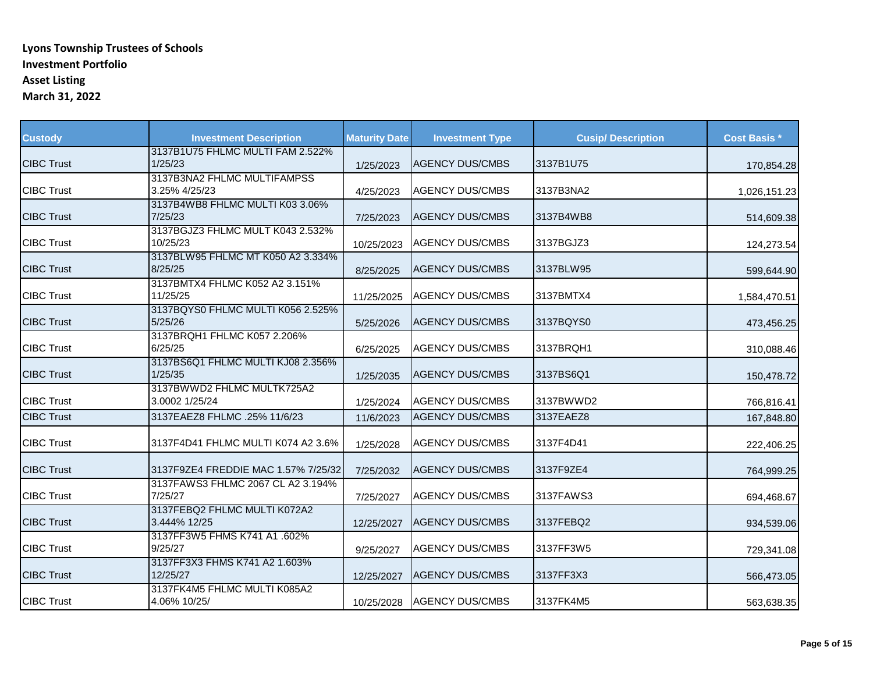| <b>Custody</b>    | <b>Investment Description</b>                | <b>Maturity Date</b> | <b>Investment Type</b> | <b>Cusip/Description</b> | <b>Cost Basis *</b> |
|-------------------|----------------------------------------------|----------------------|------------------------|--------------------------|---------------------|
| <b>CIBC Trust</b> | 3137B1U75 FHLMC MULTI FAM 2.522%<br>1/25/23  | 1/25/2023            | <b>AGENCY DUS/CMBS</b> | 3137B1U75                | 170,854.28          |
| <b>CIBC Trust</b> | 3137B3NA2 FHLMC MULTIFAMPSS<br>3.25% 4/25/23 | 4/25/2023            | <b>AGENCY DUS/CMBS</b> | 3137B3NA2                | 1,026,151.23        |
| <b>CIBC Trust</b> | 3137B4WB8 FHLMC MULTI K03 3.06%<br>7/25/23   | 7/25/2023            | <b>AGENCY DUS/CMBS</b> | 3137B4WB8                | 514,609.38          |
| <b>CIBC Trust</b> | 3137BGJZ3 FHLMC MULT K043 2.532%<br>10/25/23 | 10/25/2023           | <b>AGENCY DUS/CMBS</b> | 3137BGJZ3                | 124,273.54          |
| <b>CIBC Trust</b> | 3137BLW95 FHLMC MT K050 A2 3.334%<br>8/25/25 | 8/25/2025            | <b>AGENCY DUS/CMBS</b> | 3137BLW95                | 599,644.90          |
| <b>CIBC Trust</b> | 3137BMTX4 FHLMC K052 A2 3.151%<br>11/25/25   | 11/25/2025           | <b>AGENCY DUS/CMBS</b> | 3137BMTX4                | 1,584,470.51        |
| <b>CIBC Trust</b> | 3137BQYS0 FHLMC MULTI K056 2.525%<br>5/25/26 | 5/25/2026            | <b>AGENCY DUS/CMBS</b> | 3137BQYS0                | 473,456.25          |
| <b>CIBC Trust</b> | 3137BRQH1 FHLMC K057 2.206%<br>6/25/25       | 6/25/2025            | <b>AGENCY DUS/CMBS</b> | 3137BRQH1                | 310,088.46          |
| <b>CIBC Trust</b> | 3137BS6Q1 FHLMC MULTI KJ08 2.356%<br>1/25/35 | 1/25/2035            | <b>AGENCY DUS/CMBS</b> | 3137BS6Q1                | 150,478.72          |
| <b>CIBC Trust</b> | 3137BWWD2 FHLMC MULTK725A2<br>3.0002 1/25/24 | 1/25/2024            | <b>AGENCY DUS/CMBS</b> | 3137BWWD2                | 766,816.41          |
| <b>CIBC Trust</b> | 3137EAEZ8 FHLMC .25% 11/6/23                 | 11/6/2023            | <b>AGENCY DUS/CMBS</b> | 3137EAEZ8                | 167,848.80          |
| <b>CIBC Trust</b> | 3137F4D41 FHLMC MULTI K074 A2 3.6%           | 1/25/2028            | <b>AGENCY DUS/CMBS</b> | 3137F4D41                | 222,406.25          |
| <b>CIBC Trust</b> | 3137F9ZE4 FREDDIE MAC 1.57% 7/25/32          | 7/25/2032            | <b>AGENCY DUS/CMBS</b> | 3137F9ZE4                | 764,999.25          |
| <b>CIBC Trust</b> | 3137FAWS3 FHLMC 2067 CL A2 3.194%<br>7/25/27 | 7/25/2027            | <b>AGENCY DUS/CMBS</b> | 3137FAWS3                | 694,468.67          |
| <b>CIBC Trust</b> | 3137FEBQ2 FHLMC MULTI K072A2<br>3.444% 12/25 | 12/25/2027           | <b>AGENCY DUS/CMBS</b> | 3137FEBQ2                | 934,539.06          |
| <b>CIBC Trust</b> | 3137FF3W5 FHMS K741 A1 .602%<br>9/25/27      | 9/25/2027            | <b>AGENCY DUS/CMBS</b> | 3137FF3W5                | 729,341.08          |
| <b>CIBC Trust</b> | 3137FF3X3 FHMS K741 A2 1.603%<br>12/25/27    | 12/25/2027           | <b>AGENCY DUS/CMBS</b> | 3137FF3X3                | 566,473.05          |
| <b>CIBC Trust</b> | 3137FK4M5 FHLMC MULTI K085A2<br>4.06% 10/25/ | 10/25/2028           | <b>AGENCY DUS/CMBS</b> | 3137FK4M5                | 563,638.35          |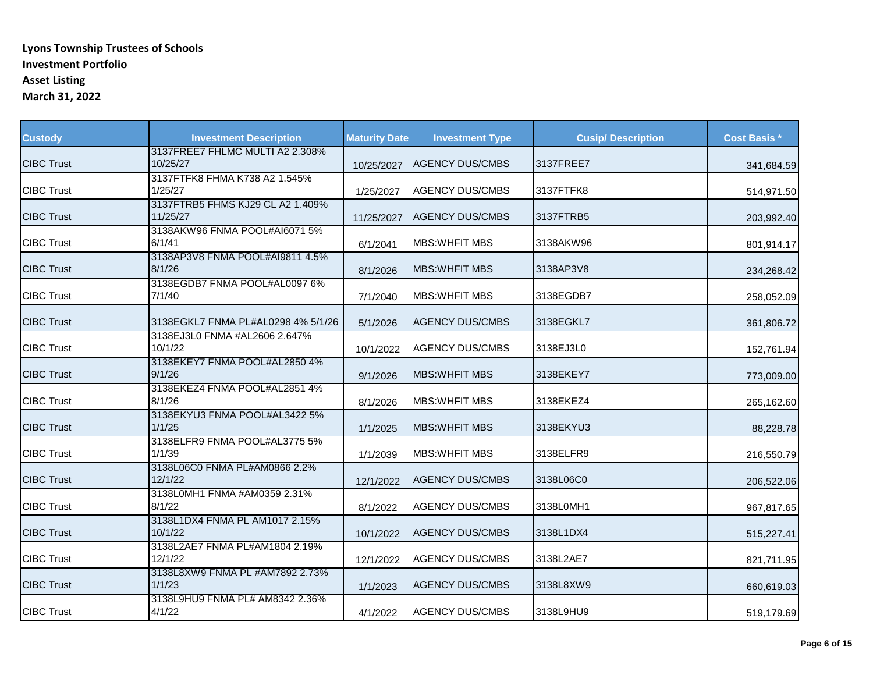| <b>Custody</b>    | <b>Investment Description</b>                | <b>Maturity Date</b> | <b>Investment Type</b> | <b>Cusip/Description</b> | <b>Cost Basis *</b> |
|-------------------|----------------------------------------------|----------------------|------------------------|--------------------------|---------------------|
| <b>CIBC Trust</b> | 3137FREE7 FHLMC MULTI A2 2.308%<br>10/25/27  | 10/25/2027           | <b>AGENCY DUS/CMBS</b> | 3137FREE7                | 341,684.59          |
| <b>CIBC Trust</b> | 3137FTFK8 FHMA K738 A2 1.545%<br>1/25/27     | 1/25/2027            | <b>AGENCY DUS/CMBS</b> | 3137FTFK8                | 514,971.50          |
| <b>CIBC Trust</b> | 3137FTRB5 FHMS KJ29 CL A2 1.409%<br>11/25/27 | 11/25/2027           | <b>AGENCY DUS/CMBS</b> | 3137FTRB5                | 203,992.40          |
| <b>CIBC Trust</b> | 3138AKW96 FNMA POOL#AI6071 5%<br>6/1/41      | 6/1/2041             | <b>MBS: WHEIT MBS</b>  | 3138AKW96                | 801,914.17          |
| <b>CIBC Trust</b> | 3138AP3V8 FNMA POOL#AI9811 4.5%<br>8/1/26    | 8/1/2026             | <b>MBS: WHEIT MBS</b>  | 3138AP3V8                | 234,268.42          |
| <b>CIBC Trust</b> | 3138EGDB7 FNMA POOL#AL0097 6%<br>7/1/40      | 7/1/2040             | <b>MBS:WHFIT MBS</b>   | 3138EGDB7                | 258,052.09          |
| <b>CIBC Trust</b> | 3138EGKL7 FNMA PL#AL0298 4% 5/1/26           | 5/1/2026             | <b>AGENCY DUS/CMBS</b> | 3138EGKL7                | 361,806.72          |
| <b>CIBC Trust</b> | 3138EJ3L0 FNMA #AL2606 2.647%<br>10/1/22     | 10/1/2022            | <b>AGENCY DUS/CMBS</b> | 3138EJ3L0                | 152,761.94          |
| <b>CIBC Trust</b> | 3138EKEY7 FNMA POOL#AL2850 4%<br>9/1/26      | 9/1/2026             | <b>MBS: WHFIT MBS</b>  | 3138EKEY7                | 773,009.00          |
| <b>CIBC Trust</b> | 3138EKEZ4 FNMA POOL#AL2851 4%<br>8/1/26      | 8/1/2026             | <b>MBS: WHFIT MBS</b>  | 3138EKEZ4                | 265,162.60          |
| <b>CIBC Trust</b> | 3138EKYU3 FNMA POOL#AL3422 5%<br>1/1/25      | 1/1/2025             | <b>MBS: WHFIT MBS</b>  | 3138EKYU3                | 88,228.78           |
| <b>CIBC Trust</b> | 3138ELFR9 FNMA POOL#AL3775 5%<br>1/1/39      | 1/1/2039             | <b>MBS:WHFIT MBS</b>   | 3138ELFR9                | 216,550.79          |
| <b>CIBC Trust</b> | 3138L06C0 FNMA PL#AM0866 2.2%<br>12/1/22     | 12/1/2022            | <b>AGENCY DUS/CMBS</b> | 3138L06C0                | 206,522.06          |
| <b>CIBC Trust</b> | 3138L0MH1 FNMA #AM0359 2.31%<br>8/1/22       | 8/1/2022             | <b>AGENCY DUS/CMBS</b> | 3138L0MH1                | 967,817.65          |
| <b>CIBC Trust</b> | 3138L1DX4 FNMA PL AM1017 2.15%<br>10/1/22    | 10/1/2022            | <b>AGENCY DUS/CMBS</b> | 3138L1DX4                | 515,227.41          |
| <b>CIBC Trust</b> | 3138L2AE7 FNMA PL#AM1804 2.19%<br>12/1/22    | 12/1/2022            | <b>AGENCY DUS/CMBS</b> | 3138L2AE7                | 821,711.95          |
| <b>CIBC Trust</b> | 3138L8XW9 FNMA PL #AM7892 2.73%<br>1/1/23    | 1/1/2023             | <b>AGENCY DUS/CMBS</b> | 3138L8XW9                | 660,619.03          |
| <b>CIBC Trust</b> | 3138L9HU9 FNMA PL# AM8342 2.36%<br>4/1/22    | 4/1/2022             | <b>AGENCY DUS/CMBS</b> | 3138L9HU9                | 519,179.69          |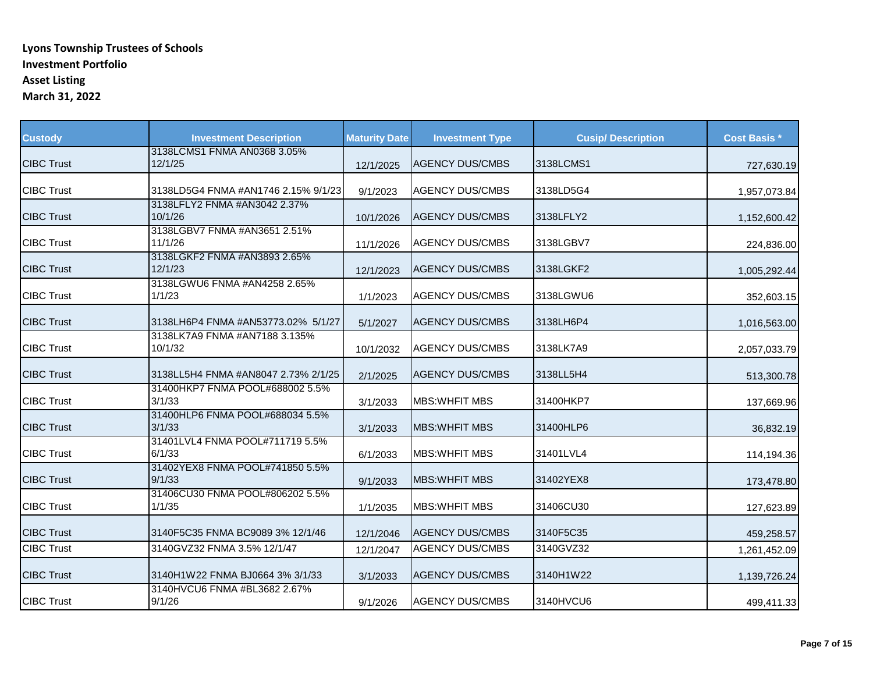| <b>Custody</b>    | <b>Investment Description</b>             | <b>Maturity Date</b> | <b>Investment Type</b> | <b>Cusip/Description</b> | <b>Cost Basis *</b> |
|-------------------|-------------------------------------------|----------------------|------------------------|--------------------------|---------------------|
| <b>CIBC Trust</b> | 3138LCMS1 FNMA AN0368 3.05%<br>12/1/25    | 12/1/2025            | <b>AGENCY DUS/CMBS</b> | 3138LCMS1                | 727,630.19          |
| <b>CIBC Trust</b> | 3138LD5G4 FNMA #AN1746 2.15% 9/1/23       | 9/1/2023             | <b>AGENCY DUS/CMBS</b> | 3138LD5G4                | 1,957,073.84        |
| <b>CIBC Trust</b> | 3138LFLY2 FNMA #AN3042 2.37%<br>10/1/26   | 10/1/2026            | <b>AGENCY DUS/CMBS</b> | 3138LFLY2                | 1,152,600.42        |
| <b>CIBC Trust</b> | 3138LGBV7 FNMA #AN3651 2.51%<br>11/1/26   | 11/1/2026            | <b>AGENCY DUS/CMBS</b> | 3138LGBV7                | 224,836.00          |
| <b>CIBC Trust</b> | 3138LGKF2 FNMA #AN3893 2.65%<br>12/1/23   | 12/1/2023            | <b>AGENCY DUS/CMBS</b> | 3138LGKF2                | 1,005,292.44        |
| <b>CIBC Trust</b> | 3138LGWU6 FNMA #AN4258 2.65%<br>1/1/23    | 1/1/2023             | <b>AGENCY DUS/CMBS</b> | 3138LGWU6                | 352,603.15          |
| <b>CIBC Trust</b> | 3138LH6P4 FNMA #AN53773.02% 5/1/27        | 5/1/2027             | <b>AGENCY DUS/CMBS</b> | 3138LH6P4                | 1,016,563.00        |
| <b>CIBC Trust</b> | 3138LK7A9 FNMA #AN7188 3.135%<br>10/1/32  | 10/1/2032            | <b>AGENCY DUS/CMBS</b> | 3138LK7A9                | 2,057,033.79        |
| <b>CIBC Trust</b> | 3138LL5H4 FNMA #AN8047 2.73% 2/1/25       | 2/1/2025             | <b>AGENCY DUS/CMBS</b> | 3138LL5H4                | 513,300.78          |
| <b>CIBC Trust</b> | 31400HKP7 FNMA POOL#688002 5.5%<br>3/1/33 | 3/1/2033             | <b>MBS: WHEIT MBS</b>  | 31400HKP7                | 137,669.96          |
| <b>CIBC Trust</b> | 31400HLP6 FNMA POOL#688034 5.5%<br>3/1/33 | 3/1/2033             | <b>MBS:WHFIT MBS</b>   | 31400HLP6                | 36,832.19           |
| <b>CIBC Trust</b> | 31401LVL4 FNMA POOL#711719 5.5%<br>6/1/33 | 6/1/2033             | <b>MBS: WHEIT MBS</b>  | 31401LVL4                | 114,194.36          |
| <b>CIBC Trust</b> | 31402YEX8 FNMA POOL#741850 5.5%<br>9/1/33 | 9/1/2033             | <b>MBS:WHFIT MBS</b>   | 31402YEX8                | 173,478.80          |
| <b>CIBC Trust</b> | 31406CU30 FNMA POOL#806202 5.5%<br>1/1/35 | 1/1/2035             | <b>MBS: WHEIT MBS</b>  | 31406CU30                | 127,623.89          |
| <b>CIBC Trust</b> | 3140F5C35 FNMA BC9089 3% 12/1/46          | 12/1/2046            | <b>AGENCY DUS/CMBS</b> | 3140F5C35                | 459,258.57          |
| <b>CIBC Trust</b> | 3140GVZ32 FNMA 3.5% 12/1/47               | 12/1/2047            | <b>AGENCY DUS/CMBS</b> | 3140GVZ32                | 1,261,452.09        |
| <b>CIBC Trust</b> | 3140H1W22 FNMA BJ0664 3% 3/1/33           | 3/1/2033             | <b>AGENCY DUS/CMBS</b> | 3140H1W22                | 1,139,726.24        |
| <b>CIBC Trust</b> | 3140HVCU6 FNMA #BL3682 2.67%<br>9/1/26    | 9/1/2026             | <b>AGENCY DUS/CMBS</b> | 3140HVCU6                | 499,411.33          |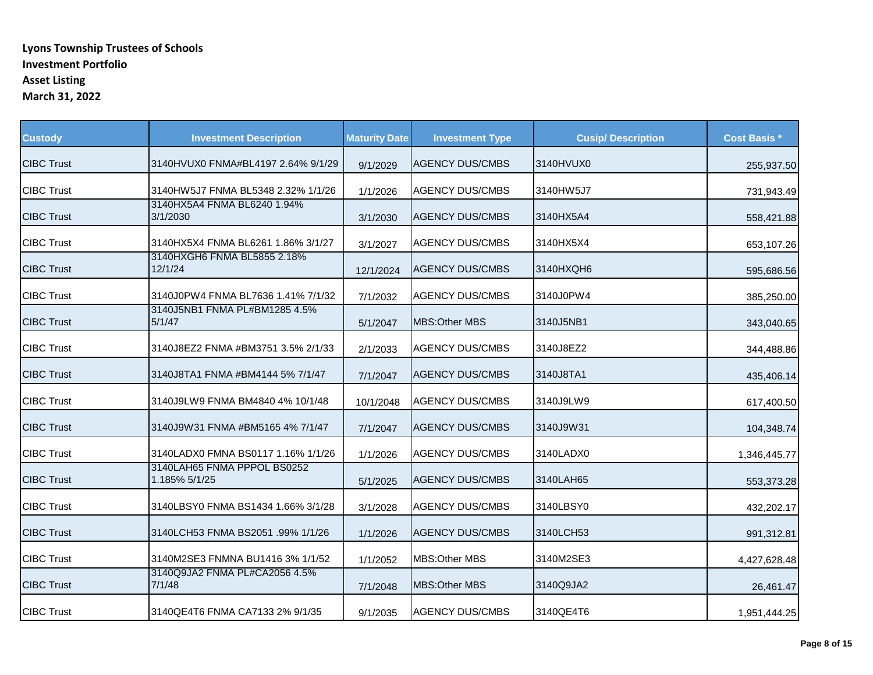| <b>Custody</b>    | <b>Investment Description</b>                | <b>Maturity Date</b> | <b>Investment Type</b> | <b>Cusip/Description</b> | <b>Cost Basis *</b> |
|-------------------|----------------------------------------------|----------------------|------------------------|--------------------------|---------------------|
| <b>CIBC Trust</b> | 3140HVUX0 FNMA#BL4197 2.64% 9/1/29           | 9/1/2029             | <b>AGENCY DUS/CMBS</b> | 3140HVUX0                | 255,937.50          |
| <b>CIBC Trust</b> | 3140HW5J7 FNMA BL5348 2.32% 1/1/26           | 1/1/2026             | <b>AGENCY DUS/CMBS</b> | 3140HW5J7                | 731,943.49          |
| <b>CIBC Trust</b> | 3140HX5A4 FNMA BL6240 1.94%<br>3/1/2030      | 3/1/2030             | <b>AGENCY DUS/CMBS</b> | 3140HX5A4                | 558,421.88          |
| <b>CIBC Trust</b> | 3140HX5X4 FNMA BL6261 1.86% 3/1/27           | 3/1/2027             | <b>AGENCY DUS/CMBS</b> | 3140HX5X4                | 653,107.26          |
| <b>CIBC Trust</b> | 3140HXGH6 FNMA BL5855 2.18%<br>12/1/24       | 12/1/2024            | <b>AGENCY DUS/CMBS</b> | 3140HXQH6                | 595,686.56          |
| <b>CIBC Trust</b> | 3140J0PW4 FNMA BL7636 1.41% 7/1/32           | 7/1/2032             | <b>AGENCY DUS/CMBS</b> | 3140J0PW4                | 385,250.00          |
| <b>CIBC Trust</b> | 3140J5NB1 FNMA PL#BM1285 4.5%<br>5/1/47      | 5/1/2047             | <b>MBS:Other MBS</b>   | 3140J5NB1                | 343,040.65          |
| <b>CIBC Trust</b> | 3140J8EZ2 FNMA #BM3751 3.5% 2/1/33           | 2/1/2033             | <b>AGENCY DUS/CMBS</b> | 3140J8EZ2                | 344,488.86          |
| <b>CIBC Trust</b> | 3140J8TA1 FNMA #BM4144 5% 7/1/47             | 7/1/2047             | <b>AGENCY DUS/CMBS</b> | 3140J8TA1                | 435,406.14          |
| <b>CIBC Trust</b> | 3140J9LW9 FNMA BM4840 4% 10/1/48             | 10/1/2048            | <b>AGENCY DUS/CMBS</b> | 3140J9LW9                | 617,400.50          |
| <b>CIBC Trust</b> | 3140J9W31 FNMA #BM5165 4% 7/1/47             | 7/1/2047             | <b>AGENCY DUS/CMBS</b> | 3140J9W31                | 104,348.74          |
| <b>CIBC Trust</b> | 3140LADX0 FMNA BS0117 1.16% 1/1/26           | 1/1/2026             | <b>AGENCY DUS/CMBS</b> | 3140LADX0                | 1,346,445.77        |
| <b>CIBC Trust</b> | 3140LAH65 FNMA PPPOL BS0252<br>1.185% 5/1/25 | 5/1/2025             | <b>AGENCY DUS/CMBS</b> | 3140LAH65                | 553,373.28          |
| <b>CIBC Trust</b> | 3140LBSY0 FNMA BS1434 1.66% 3/1/28           | 3/1/2028             | <b>AGENCY DUS/CMBS</b> | 3140LBSY0                | 432,202.17          |
| <b>CIBC Trust</b> | 3140LCH53 FNMA BS2051 .99% 1/1/26            | 1/1/2026             | <b>AGENCY DUS/CMBS</b> | 3140LCH53                | 991,312.81          |
| <b>CIBC Trust</b> | 3140M2SE3 FNMNA BU1416 3% 1/1/52             | 1/1/2052             | <b>MBS:Other MBS</b>   | 3140M2SE3                | 4,427,628.48        |
| <b>CIBC Trust</b> | 3140Q9JA2 FNMA PL#CA2056 4.5%<br>7/1/48      | 7/1/2048             | MBS: Other MBS         | 3140Q9JA2                | 26,461.47           |
| <b>CIBC Trust</b> | 3140QE4T6 FNMA CA7133 2% 9/1/35              | 9/1/2035             | <b>AGENCY DUS/CMBS</b> | 3140QE4T6                | 1,951,444.25        |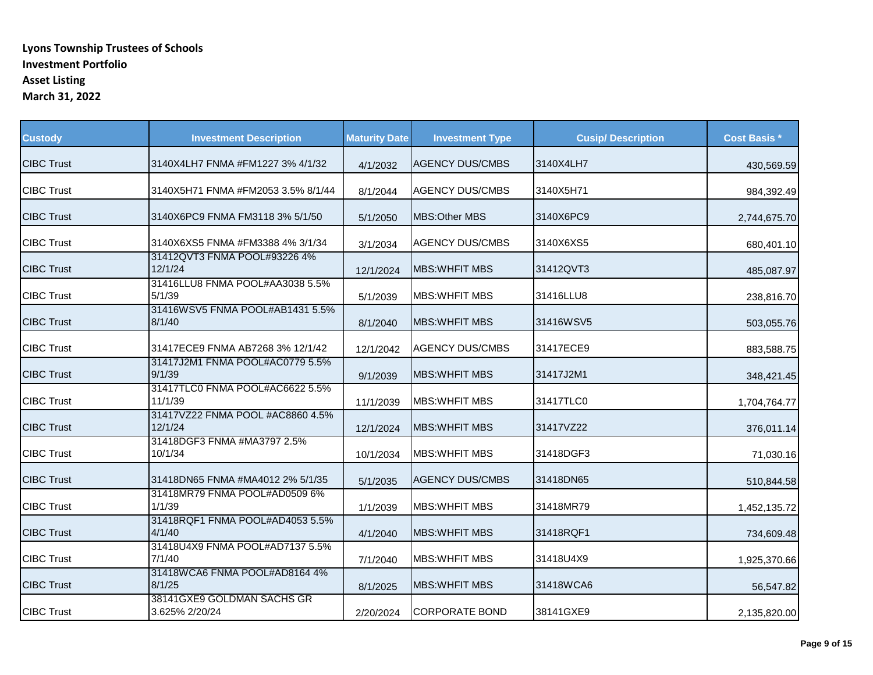| <b>Custody</b>    | <b>Investment Description</b>                | <b>Maturity Date</b> | <b>Investment Type</b> | <b>Cusip/Description</b> | <b>Cost Basis *</b> |
|-------------------|----------------------------------------------|----------------------|------------------------|--------------------------|---------------------|
| <b>CIBC Trust</b> | 3140X4LH7 FNMA #FM1227 3% 4/1/32             | 4/1/2032             | <b>AGENCY DUS/CMBS</b> | 3140X4LH7                | 430,569.59          |
| <b>CIBC Trust</b> | 3140X5H71 FNMA #FM2053 3.5% 8/1/44           | 8/1/2044             | <b>AGENCY DUS/CMBS</b> | 3140X5H71                | 984,392.49          |
| <b>CIBC Trust</b> | 3140X6PC9 FNMA FM3118 3% 5/1/50              | 5/1/2050             | MBS: Other MBS         | 3140X6PC9                | 2,744,675.70        |
| <b>CIBC Trust</b> | 3140X6XS5 FNMA #FM3388 4% 3/1/34             | 3/1/2034             | <b>AGENCY DUS/CMBS</b> | 3140X6XS5                | 680,401.10          |
| <b>CIBC Trust</b> | 31412QVT3 FNMA POOL#93226 4%<br>12/1/24      | 12/1/2024            | <b>MBS: WHEIT MBS</b>  | 31412QVT3                | 485,087.97          |
| <b>CIBC Trust</b> | 31416LLU8 FNMA POOL#AA3038 5.5%<br>5/1/39    | 5/1/2039             | <b>MBS: WHEIT MBS</b>  | 31416LLU8                | 238,816.70          |
| <b>CIBC Trust</b> | 31416WSV5 FNMA POOL#AB1431 5.5%<br>8/1/40    | 8/1/2040             | <b>MBS:WHFIT MBS</b>   | 31416WSV5                | 503,055.76          |
| <b>CIBC Trust</b> | 31417ECE9 FNMA AB7268 3% 12/1/42             | 12/1/2042            | <b>AGENCY DUS/CMBS</b> | 31417ECE9                | 883,588.75          |
| <b>CIBC Trust</b> | 31417J2M1 FNMA POOL#AC0779 5.5%<br>9/1/39    | 9/1/2039             | <b>MBS: WHEIT MBS</b>  | 31417J2M1                | 348,421.45          |
| <b>CIBC Trust</b> | 31417TLC0 FNMA POOL#AC6622 5.5%<br>11/1/39   | 11/1/2039            | <b>MBS: WHEIT MBS</b>  | 31417TLC0                | 1,704,764.77        |
| <b>CIBC Trust</b> | 31417VZ22 FNMA POOL #AC8860 4.5%<br>12/1/24  | 12/1/2024            | <b>MBS: WHEIT MBS</b>  | 31417VZ22                | 376,011.14          |
| <b>CIBC Trust</b> | 31418DGF3 FNMA #MA3797 2.5%<br>10/1/34       | 10/1/2034            | <b>MBS:WHFIT MBS</b>   | 31418DGF3                | 71,030.16           |
| <b>CIBC Trust</b> | 31418DN65 FNMA #MA4012 2% 5/1/35             | 5/1/2035             | <b>AGENCY DUS/CMBS</b> | 31418DN65                | 510,844.58          |
| <b>CIBC Trust</b> | 31418MR79 FNMA POOL#AD0509 6%<br>1/1/39      | 1/1/2039             | <b>MBS: WHFIT MBS</b>  | 31418MR79                | 1,452,135.72        |
| <b>CIBC Trust</b> | 31418RQF1 FNMA POOL#AD4053 5.5%<br>4/1/40    | 4/1/2040             | <b>MBS:WHFIT MBS</b>   | 31418RQF1                | 734,609.48          |
| <b>CIBC Trust</b> | 31418U4X9 FNMA POOL#AD7137 5.5%<br>7/1/40    | 7/1/2040             | <b>MBS: WHFIT MBS</b>  | 31418U4X9                | 1,925,370.66        |
| <b>CIBC Trust</b> | 31418WCA6 FNMA POOL#AD8164 4%<br>8/1/25      | 8/1/2025             | <b>MBS:WHFIT MBS</b>   | 31418WCA6                | 56,547.82           |
| <b>CIBC Trust</b> | 38141GXE9 GOLDMAN SACHS GR<br>3.625% 2/20/24 | 2/20/2024            | <b>CORPORATE BOND</b>  | 38141GXE9                | 2,135,820.00        |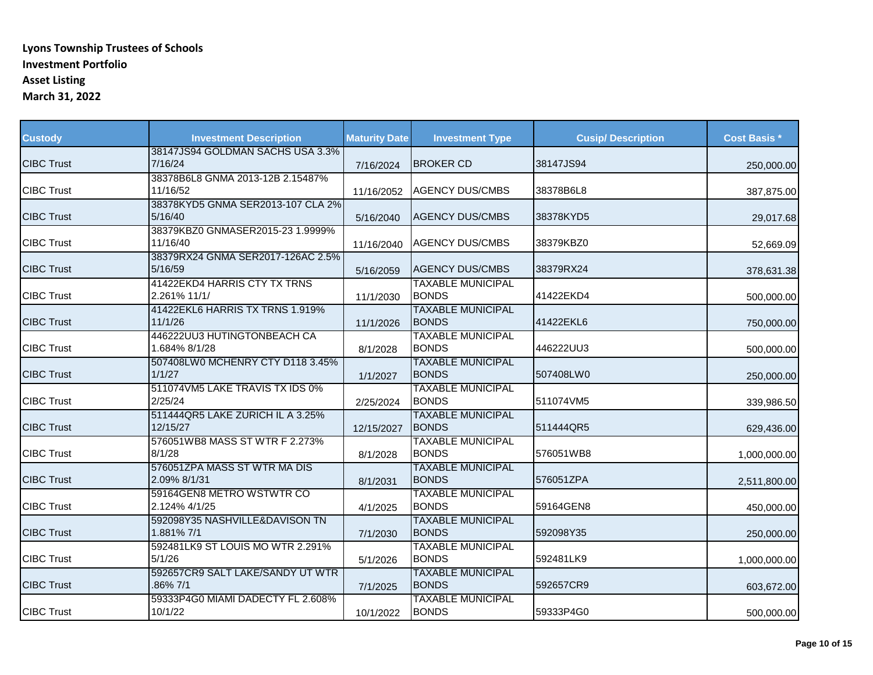| <b>Custody</b>    | <b>Investment Description</b>                | <b>Maturity Date</b> | <b>Investment Type</b>                   | <b>Cusip/Description</b> | <b>Cost Basis *</b> |
|-------------------|----------------------------------------------|----------------------|------------------------------------------|--------------------------|---------------------|
| <b>CIBC Trust</b> | 38147JS94 GOLDMAN SACHS USA 3.3%<br>7/16/24  | 7/16/2024            | <b>BROKER CD</b>                         | 38147JS94                | 250,000.00          |
| <b>CIBC Trust</b> | 38378B6L8 GNMA 2013-12B 2.15487%<br>11/16/52 | 11/16/2052           | <b>AGENCY DUS/CMBS</b>                   | 38378B6L8                | 387,875.00          |
| <b>CIBC Trust</b> | 38378KYD5 GNMA SER2013-107 CLA 2%<br>5/16/40 | 5/16/2040            | <b>AGENCY DUS/CMBS</b>                   | 38378KYD5                | 29,017.68           |
| <b>CIBC Trust</b> | 38379KBZ0 GNMASER2015-23 1.9999%<br>11/16/40 | 11/16/2040           | <b>AGENCY DUS/CMBS</b>                   | 38379KBZ0                | 52,669.09           |
| <b>CIBC Trust</b> | 38379RX24 GNMA SER2017-126AC 2.5%<br>5/16/59 | 5/16/2059            | <b>AGENCY DUS/CMBS</b>                   | 38379RX24                | 378,631.38          |
| <b>CIBC Trust</b> | 41422EKD4 HARRIS CTY TX TRNS<br>2.261% 11/1/ | 11/1/2030            | <b>TAXABLE MUNICIPAL</b><br><b>BONDS</b> | 41422EKD4                | 500,000.00          |
| <b>CIBC Trust</b> | 41422EKL6 HARRIS TX TRNS 1.919%<br>11/1/26   | 11/1/2026            | <b>TAXABLE MUNICIPAL</b><br><b>BONDS</b> | 41422EKL6                | 750,000.00          |
| <b>CIBC Trust</b> | 446222UU3 HUTINGTONBEACH CA<br>1.684% 8/1/28 | 8/1/2028             | <b>TAXABLE MUNICIPAL</b><br><b>BONDS</b> | 446222UU3                | 500,000.00          |
| <b>CIBC Trust</b> | 507408LW0 MCHENRY CTY D118 3.45%<br>1/1/27   | 1/1/2027             | <b>TAXABLE MUNICIPAL</b><br><b>BONDS</b> | 507408LW0                | 250,000.00          |
| <b>CIBC Trust</b> | 511074VM5 LAKE TRAVIS TX IDS 0%<br>2/25/24   | 2/25/2024            | <b>TAXABLE MUNICIPAL</b><br><b>BONDS</b> | 511074VM5                | 339,986.50          |
| <b>CIBC Trust</b> | 511444QR5 LAKE ZURICH IL A 3.25%<br>12/15/27 | 12/15/2027           | <b>TAXABLE MUNICIPAL</b><br><b>BONDS</b> | 511444QR5                | 629,436.00          |
| <b>CIBC Trust</b> | 576051WB8 MASS ST WTR F 2.273%<br>8/1/28     | 8/1/2028             | <b>TAXABLE MUNICIPAL</b><br><b>BONDS</b> | 576051WB8                | 1,000,000.00        |
| <b>CIBC Trust</b> | 576051ZPA MASS ST WTR MA DIS<br>2.09% 8/1/31 | 8/1/2031             | <b>TAXABLE MUNICIPAL</b><br><b>BONDS</b> | 576051ZPA                | 2,511,800.00        |
| <b>CIBC Trust</b> | 59164GEN8 METRO WSTWTR CO<br>2.124% 4/1/25   | 4/1/2025             | <b>TAXABLE MUNICIPAL</b><br><b>BONDS</b> | 59164GEN8                | 450,000.00          |
| <b>CIBC Trust</b> | 592098Y35 NASHVILLE&DAVISON TN<br>1.881% 7/1 | 7/1/2030             | <b>TAXABLE MUNICIPAL</b><br><b>BONDS</b> | 592098Y35                | 250,000.00          |
| <b>CIBC Trust</b> | 592481LK9 ST LOUIS MO WTR 2.291%<br>5/1/26   | 5/1/2026             | <b>TAXABLE MUNICIPAL</b><br><b>BONDS</b> | 592481LK9                | 1,000,000.00        |
| <b>CIBC Trust</b> | 592657CR9 SALT LAKE/SANDY UT WTR<br>.86% 7/1 | 7/1/2025             | <b>TAXABLE MUNICIPAL</b><br><b>BONDS</b> | 592657CR9                | 603,672.00          |
| <b>CIBC Trust</b> | 59333P4G0 MIAMI DADECTY FL 2.608%<br>10/1/22 | 10/1/2022            | <b>TAXABLE MUNICIPAL</b><br><b>BONDS</b> | 59333P4G0                | 500,000.00          |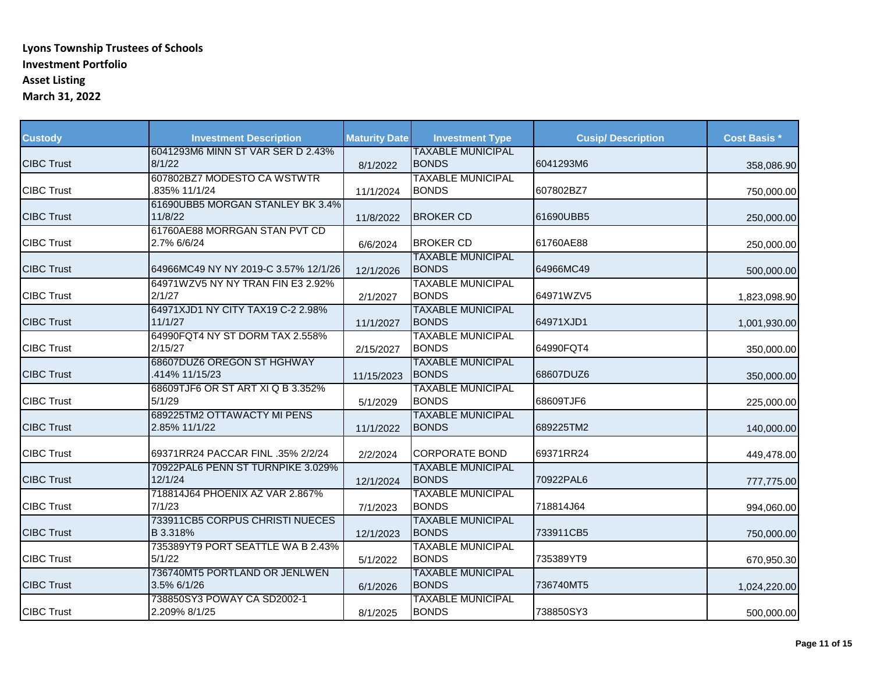| <b>Custody</b>    | <b>Investment Description</b>                | <b>Maturity Date</b> | <b>Investment Type</b>                   | <b>Cusip/Description</b> | <b>Cost Basis *</b> |
|-------------------|----------------------------------------------|----------------------|------------------------------------------|--------------------------|---------------------|
| <b>CIBC Trust</b> | 6041293M6 MINN ST VAR SER D 2.43%<br>8/1/22  | 8/1/2022             | <b>TAXABLE MUNICIPAL</b><br><b>BONDS</b> | 6041293M6                | 358,086.90          |
| <b>CIBC Trust</b> | 607802BZ7 MODESTO CA WSTWTR<br>.835% 11/1/24 | 11/1/2024            | <b>TAXABLE MUNICIPAL</b><br><b>BONDS</b> | 607802BZ7                | 750,000.00          |
| <b>CIBC Trust</b> | 61690UBB5 MORGAN STANLEY BK 3.4%<br>11/8/22  | 11/8/2022            | <b>BROKER CD</b>                         | 61690UBB5                | 250,000.00          |
| <b>CIBC Trust</b> | 61760AE88 MORRGAN STAN PVT CD<br>2.7% 6/6/24 | 6/6/2024             | <b>BROKER CD</b>                         | 61760AE88                | 250,000.00          |
| <b>CIBC Trust</b> | 64966MC49 NY NY 2019-C 3.57% 12/1/26         | 12/1/2026            | <b>TAXABLE MUNICIPAL</b><br><b>BONDS</b> | 64966MC49                | 500,000.00          |
| <b>CIBC Trust</b> | 64971WZV5 NY NY TRAN FIN E3 2.92%<br>2/1/27  | 2/1/2027             | <b>TAXABLE MUNICIPAL</b><br><b>BONDS</b> | 64971WZV5                | 1,823,098.90        |
| <b>CIBC Trust</b> | 64971XJD1 NY CITY TAX19 C-2 2.98%<br>11/1/27 | 11/1/2027            | <b>TAXABLE MUNICIPAL</b><br><b>BONDS</b> | 64971XJD1                | 1,001,930.00        |
| <b>CIBC Trust</b> | 64990FQT4 NY ST DORM TAX 2.558%<br>2/15/27   | 2/15/2027            | <b>TAXABLE MUNICIPAL</b><br><b>BONDS</b> | 64990FQT4                | 350,000.00          |
| <b>CIBC Trust</b> | 68607DUZ6 OREGON ST HGHWAY<br>.414% 11/15/23 | 11/15/2023           | <b>TAXABLE MUNICIPAL</b><br><b>BONDS</b> | 68607DUZ6                | 350,000.00          |
| <b>CIBC Trust</b> | 68609TJF6 OR ST ART XI Q B 3.352%<br>5/1/29  | 5/1/2029             | <b>TAXABLE MUNICIPAL</b><br><b>BONDS</b> | 68609TJF6                | 225,000.00          |
| <b>CIBC Trust</b> | 689225TM2 OTTAWACTY MI PENS<br>2.85% 11/1/22 | 11/1/2022            | <b>TAXABLE MUNICIPAL</b><br><b>BONDS</b> | 689225TM2                | 140,000.00          |
| <b>CIBC Trust</b> | 69371RR24 PACCAR FINL .35% 2/2/24            | 2/2/2024             | <b>CORPORATE BOND</b>                    | 69371RR24                | 449,478.00          |
| <b>CIBC Trust</b> | 70922PAL6 PENN ST TURNPIKE 3.029%<br>12/1/24 | 12/1/2024            | <b>TAXABLE MUNICIPAL</b><br><b>BONDS</b> | 70922PAL6                | 777,775.00          |
| <b>CIBC Trust</b> | 718814J64 PHOENIX AZ VAR 2.867%<br>7/1/23    | 7/1/2023             | <b>TAXABLE MUNICIPAL</b><br><b>BONDS</b> | 718814J64                | 994,060.00          |
| <b>CIBC Trust</b> | 733911CB5 CORPUS CHRISTI NUECES<br>B 3.318%  | 12/1/2023            | <b>TAXABLE MUNICIPAL</b><br><b>BONDS</b> | 733911CB5                | 750,000.00          |
| <b>CIBC Trust</b> | 735389YT9 PORT SEATTLE WA B 2.43%<br>5/1/22  | 5/1/2022             | <b>TAXABLE MUNICIPAL</b><br><b>BONDS</b> | 735389YT9                | 670,950.30          |
| <b>CIBC Trust</b> | 736740MT5 PORTLAND OR JENLWEN<br>3.5% 6/1/26 | 6/1/2026             | <b>TAXABLE MUNICIPAL</b><br><b>BONDS</b> | 736740MT5                | 1,024,220.00        |
| <b>CIBC Trust</b> | 738850SY3 POWAY CA SD2002-1<br>2.209% 8/1/25 | 8/1/2025             | <b>TAXABLE MUNICIPAL</b><br><b>BONDS</b> | 738850SY3                | 500,000.00          |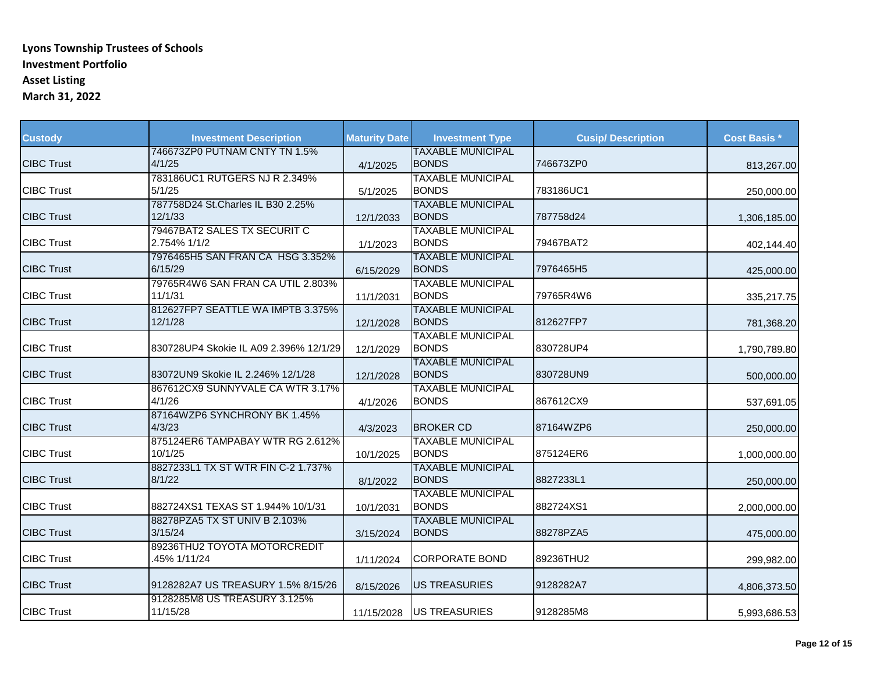| <b>Custody</b>    | <b>Investment Description</b>                 | <b>Maturity Date</b> | <b>Investment Type</b>                   | <b>Cusip/Description</b> | <b>Cost Basis *</b> |
|-------------------|-----------------------------------------------|----------------------|------------------------------------------|--------------------------|---------------------|
| <b>CIBC Trust</b> | 746673ZP0 PUTNAM CNTY TN 1.5%<br>4/1/25       | 4/1/2025             | <b>TAXABLE MUNICIPAL</b><br><b>BONDS</b> | 746673ZP0                | 813,267.00          |
| <b>CIBC Trust</b> | 783186UC1 RUTGERS NJ R 2.349%<br>5/1/25       | 5/1/2025             | <b>TAXABLE MUNICIPAL</b><br><b>BONDS</b> | 783186UC1                | 250,000.00          |
| <b>CIBC Trust</b> | 787758D24 St. Charles IL B30 2.25%<br>12/1/33 | 12/1/2033            | <b>TAXABLE MUNICIPAL</b><br><b>BONDS</b> | 787758d24                | 1,306,185.00        |
| <b>CIBC Trust</b> | 79467BAT2 SALES TX SECURIT C<br>2.754% 1/1/2  | 1/1/2023             | <b>TAXABLE MUNICIPAL</b><br><b>BONDS</b> | 79467BAT2                | 402,144.40          |
| <b>CIBC Trust</b> | 7976465H5 SAN FRAN CA HSG 3.352%<br>6/15/29   | 6/15/2029            | <b>TAXABLE MUNICIPAL</b><br><b>BONDS</b> | 7976465H5                | 425,000.00          |
| <b>CIBC Trust</b> | 79765R4W6 SAN FRAN CA UTIL 2.803%<br>11/1/31  | 11/1/2031            | <b>TAXABLE MUNICIPAL</b><br><b>BONDS</b> | 79765R4W6                | 335,217.75          |
| <b>CIBC Trust</b> | 812627FP7 SEATTLE WA IMPTB 3.375%<br>12/1/28  | 12/1/2028            | <b>TAXABLE MUNICIPAL</b><br><b>BONDS</b> | 812627FP7                | 781,368.20          |
| <b>CIBC Trust</b> | 830728UP4 Skokie IL A09 2.396% 12/1/29        | 12/1/2029            | <b>TAXABLE MUNICIPAL</b><br><b>BONDS</b> | 830728UP4                | 1,790,789.80        |
| <b>CIBC Trust</b> | 83072UN9 Skokie IL 2.246% 12/1/28             | 12/1/2028            | <b>TAXABLE MUNICIPAL</b><br><b>BONDS</b> | 830728UN9                | 500,000.00          |
| <b>CIBC Trust</b> | 867612CX9 SUNNYVALE CA WTR 3.17%<br>4/1/26    | 4/1/2026             | <b>TAXABLE MUNICIPAL</b><br><b>BONDS</b> | 867612CX9                | 537,691.05          |
| <b>CIBC Trust</b> | 87164WZP6 SYNCHRONY BK 1.45%<br>4/3/23        | 4/3/2023             | <b>BROKER CD</b>                         | 87164WZP6                | 250,000.00          |
| <b>CIBC Trust</b> | 875124ER6 TAMPABAY WTR RG 2.612%<br>10/1/25   | 10/1/2025            | <b>TAXABLE MUNICIPAL</b><br><b>BONDS</b> | 875124ER6                | 1,000,000.00        |
| <b>CIBC Trust</b> | 8827233L1 TX ST WTR FIN C-2 1.737%<br>8/1/22  | 8/1/2022             | <b>TAXABLE MUNICIPAL</b><br><b>BONDS</b> | 8827233L1                | 250,000.00          |
| <b>CIBC Trust</b> | 882724XS1 TEXAS ST 1.944% 10/1/31             | 10/1/2031            | <b>TAXABLE MUNICIPAL</b><br><b>BONDS</b> | 882724XS1                | 2,000,000.00        |
| <b>CIBC Trust</b> | 88278PZA5 TX ST UNIV B 2.103%<br>3/15/24      | 3/15/2024            | <b>TAXABLE MUNICIPAL</b><br><b>BONDS</b> | 88278PZA5                | 475,000.00          |
| <b>CIBC Trust</b> | 89236THU2 TOYOTA MOTORCREDIT<br>45% 1/11/24   | 1/11/2024            | <b>CORPORATE BOND</b>                    | 89236THU2                | 299,982.00          |
| <b>CIBC Trust</b> | 9128282A7 US TREASURY 1.5% 8/15/26            | 8/15/2026            | <b>US TREASURIES</b>                     | 9128282A7                | 4,806,373.50        |
| <b>CIBC Trust</b> | 9128285M8 US TREASURY 3.125%<br>11/15/28      | 11/15/2028           | <b>US TREASURIES</b>                     | 9128285M8                | 5,993,686.53        |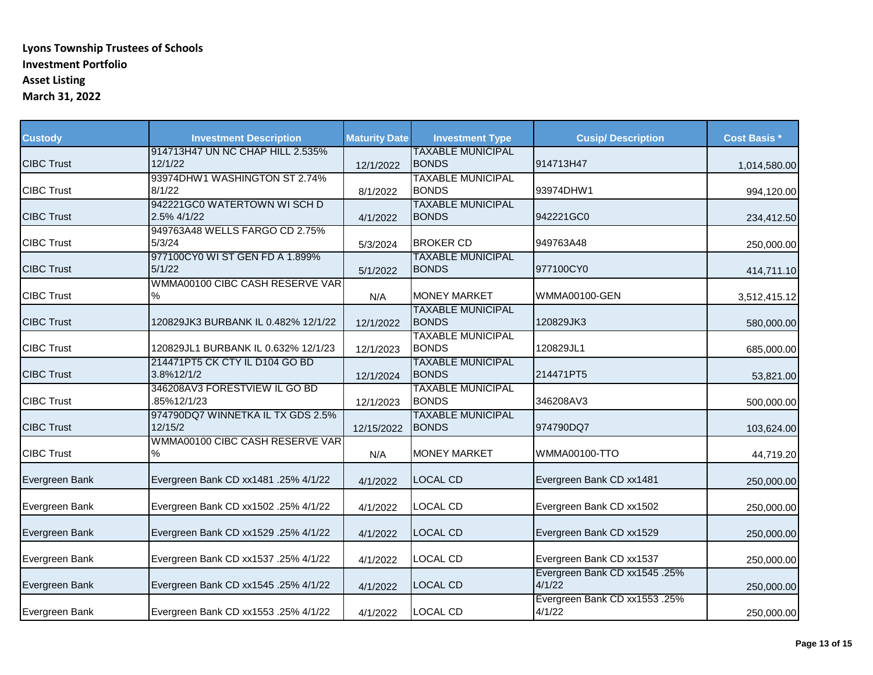| <b>Custody</b>    | <b>Investment Description</b>                | <b>Maturity Date</b> | <b>Investment Type</b>                   | <b>Cusip/Description</b>                | <b>Cost Basis *</b> |
|-------------------|----------------------------------------------|----------------------|------------------------------------------|-----------------------------------------|---------------------|
| <b>CIBC Trust</b> | 914713H47 UN NC CHAP HILL 2.535%<br>12/1/22  | 12/1/2022            | <b>TAXABLE MUNICIPAL</b><br><b>BONDS</b> | 914713H47                               | 1,014,580.00        |
| <b>CIBC Trust</b> | 93974DHW1 WASHINGTON ST 2.74%<br>8/1/22      | 8/1/2022             | <b>TAXABLE MUNICIPAL</b><br><b>BONDS</b> | 93974DHW1                               | 994,120.00          |
| <b>CIBC Trust</b> | 942221GC0 WATERTOWN WISCHD<br>2.5% 4/1/22    | 4/1/2022             | <b>TAXABLE MUNICIPAL</b><br><b>BONDS</b> | 942221GC0                               | 234,412.50          |
| <b>CIBC Trust</b> | 949763A48 WELLS FARGO CD 2.75%<br>5/3/24     | 5/3/2024             | <b>BROKER CD</b>                         | 949763A48                               | 250,000.00          |
| <b>CIBC Trust</b> | 977100CY0 WI ST GEN FD A 1.899%<br>5/1/22    | 5/1/2022             | <b>TAXABLE MUNICIPAL</b><br><b>BONDS</b> | 977100CY0                               | 414,711.10          |
| <b>CIBC Trust</b> | WMMA00100 CIBC CASH RESERVE VAR<br>$\%$      | N/A                  | <b>MONEY MARKET</b>                      | WMMA00100-GEN                           | 3,512,415.12        |
| <b>CIBC Trust</b> | 120829JK3 BURBANK IL 0.482% 12/1/22          | 12/1/2022            | <b>TAXABLE MUNICIPAL</b><br><b>BONDS</b> | 120829JK3                               | 580,000.00          |
| <b>CIBC Trust</b> | 120829JL1 BURBANK IL 0.632% 12/1/23          | 12/1/2023            | <b>TAXABLE MUNICIPAL</b><br><b>BONDS</b> | 120829JL1                               | 685,000.00          |
| <b>CIBC Trust</b> | 214471PT5 CK CTY IL D104 GO BD<br>3.8%12/1/2 | 12/1/2024            | <b>TAXABLE MUNICIPAL</b><br><b>BONDS</b> | 214471PT5                               | 53,821.00           |
| <b>CIBC Trust</b> | 346208AV3 FORESTVIEW IL GO BD<br>85%12/1/23  | 12/1/2023            | <b>TAXABLE MUNICIPAL</b><br><b>BONDS</b> | 346208AV3                               | 500,000.00          |
| <b>CIBC Trust</b> | 974790DQ7 WINNETKA IL TX GDS 2.5%<br>12/15/2 | 12/15/2022           | <b>TAXABLE MUNICIPAL</b><br><b>BONDS</b> | 974790DQ7                               | 103,624.00          |
| <b>CIBC Trust</b> | WMMA00100 CIBC CASH RESERVE VAR<br>$\%$      | N/A                  | <b>MONEY MARKET</b>                      | WMMA00100-TTO                           | 44,719.20           |
| Evergreen Bank    | Evergreen Bank CD xx1481 .25% 4/1/22         | 4/1/2022             | <b>LOCAL CD</b>                          | Evergreen Bank CD xx1481                | 250,000.00          |
| Evergreen Bank    | Evergreen Bank CD xx1502 .25% 4/1/22         | 4/1/2022             | <b>LOCAL CD</b>                          | Evergreen Bank CD xx1502                | 250,000.00          |
| Evergreen Bank    | Evergreen Bank CD xx1529 .25% 4/1/22         | 4/1/2022             | <b>LOCAL CD</b>                          | Evergreen Bank CD xx1529                | 250,000.00          |
| Evergreen Bank    | Evergreen Bank CD xx1537 .25% 4/1/22         | 4/1/2022             | <b>LOCAL CD</b>                          | Evergreen Bank CD xx1537                | 250,000.00          |
| Evergreen Bank    | Evergreen Bank CD xx1545 .25% 4/1/22         | 4/1/2022             | <b>LOCAL CD</b>                          | Evergreen Bank CD xx1545 .25%<br>4/1/22 | 250,000.00          |
| Evergreen Bank    | Evergreen Bank CD xx1553 .25% 4/1/22         | 4/1/2022             | <b>LOCAL CD</b>                          | Evergreen Bank CD xx1553 .25%<br>4/1/22 | 250,000.00          |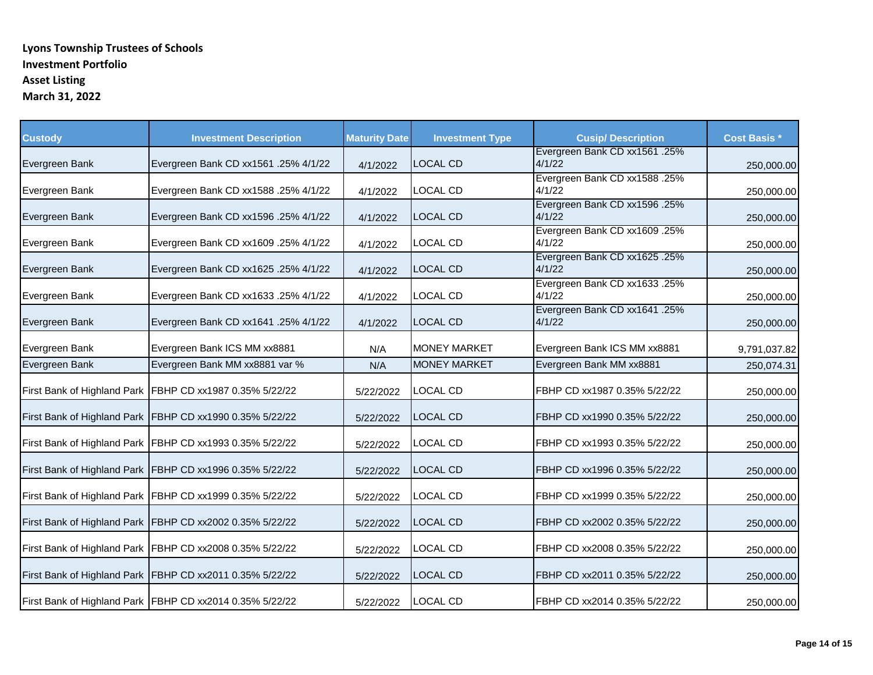| <b>Custody</b> | <b>Investment Description</b>                            | <b>Maturity Date</b> | <b>Investment Type</b> | <b>Cusip/Description</b>                | <b>Cost Basis *</b> |
|----------------|----------------------------------------------------------|----------------------|------------------------|-----------------------------------------|---------------------|
| Evergreen Bank | Evergreen Bank CD xx1561 .25% 4/1/22                     | 4/1/2022             | <b>LOCAL CD</b>        | Evergreen Bank CD xx1561 .25%<br>4/1/22 | 250,000.00          |
| Evergreen Bank | Evergreen Bank CD xx1588 .25% 4/1/22                     | 4/1/2022             | LOCAL CD               | Evergreen Bank CD xx1588 .25%<br>4/1/22 | 250,000.00          |
| Evergreen Bank | Evergreen Bank CD xx1596 .25% 4/1/22                     | 4/1/2022             | <b>LOCAL CD</b>        | Evergreen Bank CD xx1596 .25%<br>4/1/22 | 250,000.00          |
| Evergreen Bank | Evergreen Bank CD xx1609 .25% 4/1/22                     | 4/1/2022             | LOCAL CD               | Evergreen Bank CD xx1609 .25%<br>4/1/22 | 250,000.00          |
| Evergreen Bank | Evergreen Bank CD xx1625 .25% 4/1/22                     | 4/1/2022             | <b>LOCAL CD</b>        | Evergreen Bank CD xx1625 .25%<br>4/1/22 | 250,000.00          |
| Evergreen Bank | Evergreen Bank CD xx1633 .25% 4/1/22                     | 4/1/2022             | LOCAL CD               | Evergreen Bank CD xx1633 .25%<br>4/1/22 | 250,000.00          |
| Evergreen Bank | Evergreen Bank CD xx1641 .25% 4/1/22                     | 4/1/2022             | <b>LOCAL CD</b>        | Evergreen Bank CD xx1641 .25%<br>4/1/22 | 250,000.00          |
| Evergreen Bank | Evergreen Bank ICS MM xx8881                             | N/A                  | <b>MONEY MARKET</b>    | Evergreen Bank ICS MM xx8881            | 9,791,037.82        |
| Evergreen Bank | Evergreen Bank MM xx8881 var %                           | N/A                  | <b>MONEY MARKET</b>    | Evergreen Bank MM xx8881                | 250,074.31          |
|                | First Bank of Highland Park FBHP CD xx1987 0.35% 5/22/22 | 5/22/2022            | LOCAL CD               | FBHP CD xx1987 0.35% 5/22/22            | 250,000.00          |
|                | First Bank of Highland Park FBHP CD xx1990 0.35% 5/22/22 | 5/22/2022            | <b>LOCAL CD</b>        | FBHP CD xx1990 0.35% 5/22/22            | 250,000.00          |
|                | First Bank of Highland Park FBHP CD xx1993 0.35% 5/22/22 | 5/22/2022            | LOCAL CD               | FBHP CD xx1993 0.35% 5/22/22            | 250,000.00          |
|                | First Bank of Highland Park FBHP CD xx1996 0.35% 5/22/22 | 5/22/2022            | <b>LOCAL CD</b>        | FBHP CD xx1996 0.35% 5/22/22            | 250,000.00          |
|                | First Bank of Highland Park FBHP CD xx1999 0.35% 5/22/22 | 5/22/2022            | LOCAL CD               | FBHP CD xx1999 0.35% 5/22/22            | 250,000.00          |
|                | First Bank of Highland Park FBHP CD xx2002 0.35% 5/22/22 | 5/22/2022            | <b>LOCAL CD</b>        | FBHP CD xx2002 0.35% 5/22/22            | 250,000.00          |
|                | First Bank of Highland Park FBHP CD xx2008 0.35% 5/22/22 | 5/22/2022            | LOCAL CD               | FBHP CD xx2008 0.35% 5/22/22            | 250,000.00          |
|                | First Bank of Highland Park FBHP CD xx2011 0.35% 5/22/22 | 5/22/2022            | <b>LOCAL CD</b>        | FBHP CD xx2011 0.35% 5/22/22            | 250,000.00          |
|                | First Bank of Highland Park FBHP CD xx2014 0.35% 5/22/22 | 5/22/2022            | <b>LOCAL CD</b>        | FBHP CD xx2014 0.35% 5/22/22            | 250,000.00          |